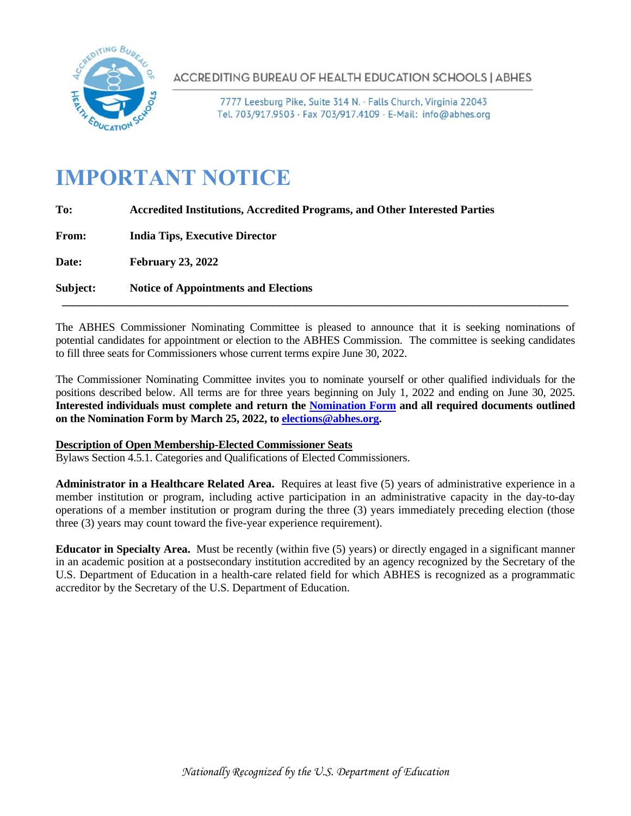

**ACCREDITING BUREAU OF HEALTH EDUCATION SCHOOLS | ABHES** 

7777 Leesburg Pike, Suite 314 N. · Falls Church, Virginia 22043 Tel. 703/917.9503 · Fax 703/917.4109 · E-Mail: info@abhes.org

# **IMPORTANT NOTICE**

| <b>Accredited Institutions, Accredited Programs, and Other Interested Parties</b> |
|-----------------------------------------------------------------------------------|
| <b>India Tips, Executive Director</b>                                             |
| <b>February 23, 2022</b>                                                          |
| <b>Notice of Appointments and Elections</b>                                       |
|                                                                                   |

The ABHES Commissioner Nominating Committee is pleased to announce that it is seeking nominations of potential candidates for appointment or election to the ABHES Commission. The committee is seeking candidates to fill three seats for Commissioners whose current terms expire June 30, 2022.

The Commissioner Nominating Committee invites you to nominate yourself or other qualified individuals for the positions described below. All terms are for three years beginning on July 1, 2022 and ending on June 30, 2025. **Interested individuals must complete and return the [Nomination Form](https://www.abhes.org/wp-content/uploads/2022/02/Nomination_Form_2022.pdf) and all required documents outlined on the Nomination Form by March 25, 2022, t[o elections@abhes.org.](mailto:elections@abhes.org)**

# **Description of Open Membership-Elected Commissioner Seats**

Bylaws Section 4.5.1. Categories and Qualifications of Elected Commissioners.

**Administrator in a Healthcare Related Area.** Requires at least five (5) years of administrative experience in a member institution or program, including active participation in an administrative capacity in the day-to-day operations of a member institution or program during the three (3) years immediately preceding election (those three (3) years may count toward the five-year experience requirement).

**Educator in Specialty Area.** Must be recently (within five (5) years) or directly engaged in a significant manner in an academic position at a postsecondary institution accredited by an agency recognized by the Secretary of the U.S. Department of Education in a health-care related field for which ABHES is recognized as a programmatic accreditor by the Secretary of the U.S. Department of Education.